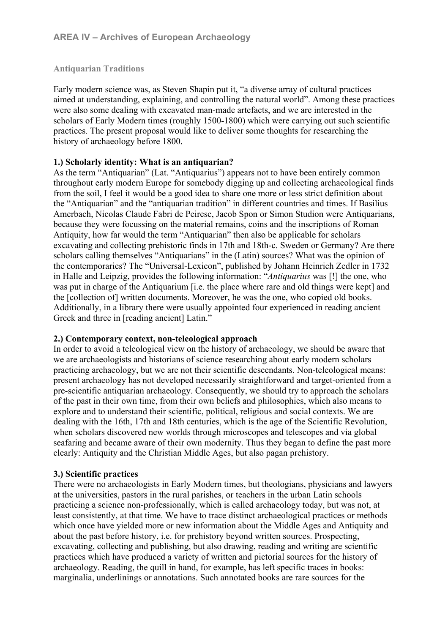# **Antiquarian Traditions**

Early modern science was, as Steven Shapin put it, "a diverse array of cultural practices aimed at understanding, explaining, and controlling the natural world". Among these practices were also some dealing with excavated man-made artefacts, and we are interested in the scholars of Early Modern times (roughly 1500-1800) which were carrying out such scientific practices. The present proposal would like to deliver some thoughts for researching the history of archaeology before 1800.

# **1.) Scholarly identity: What is an antiquarian?**

As the term "Antiquarian" (Lat. "Antiquarius") appears not to have been entirely common throughout early modern Europe for somebody digging up and collecting archaeological finds from the soil, I feel it would be a good idea to share one more or less strict definition about the "Antiquarian" and the "antiquarian tradition" in different countries and times. If Basilius Amerbach, Nicolas Claude Fabri de Peiresc, Jacob Spon or Simon Studion were Antiquarians, because they were focussing on the material remains, coins and the inscriptions of Roman Antiquity, how far would the term "Antiquarian" then also be applicable for scholars excavating and collecting prehistoric finds in 17th and 18th-c. Sweden or Germany? Are there scholars calling themselves "Antiquarians" in the (Latin) sources? What was the opinion of the contemporaries? The "Universal-Lexicon", published by Johann Heinrich Zedler in 1732 in Halle and Leipzig, provides the following information: "*Antiquarius* was [!] the one, who was put in charge of the Antiquarium [i.e. the place where rare and old things were kept] and the [collection of] written documents. Moreover, he was the one, who copied old books. Additionally, in a library there were usually appointed four experienced in reading ancient Greek and three in [reading ancient] Latin."

## **2.) Contemporary context, non-teleological approach**

In order to avoid a teleological view on the history of archaeology, we should be aware that we are archaeologists and historians of science researching about early modern scholars practicing archaeology, but we are not their scientific descendants. Non-teleological means: present archaeology has not developed necessarily straightforward and target-oriented from a pre-scientific antiquarian archaeology. Consequently, we should try to approach the scholars of the past in their own time, from their own beliefs and philosophies, which also means to explore and to understand their scientific, political, religious and social contexts. We are dealing with the 16th, 17th and 18th centuries, which is the age of the Scientific Revolution, when scholars discovered new worlds through microscopes and telescopes and via global seafaring and became aware of their own modernity. Thus they began to define the past more clearly: Antiquity and the Christian Middle Ages, but also pagan prehistory.

## **3.) Scientific practices**

There were no archaeologists in Early Modern times, but theologians, physicians and lawyers at the universities, pastors in the rural parishes, or teachers in the urban Latin schools practicing a science non-professionally, which is called archaeology today, but was not, at least consistently, at that time. We have to trace distinct archaeological practices or methods which once have vielded more or new information about the Middle Ages and Antiquity and about the past before history, i.e. for prehistory beyond written sources. Prospecting, excavating, collecting and publishing, but also drawing, reading and writing are scientific practices which have produced a variety of written and pictorial sources for the history of archaeology. Reading, the quill in hand, for example, has left specific traces in books: marginalia, underlinings or annotations. Such annotated books are rare sources for the